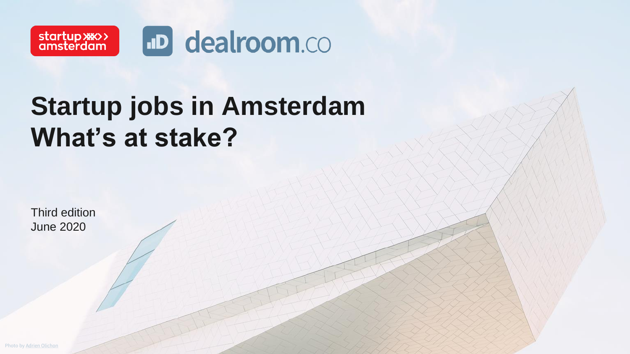

# **Startup jobs in Amsterdam What's at stake?**

Third edition June 2020

Photo by [Adrien Olichon](https://unsplash.com/@adrienolichon?utm_source=unsplash&utm_medium=referral&utm_content=creditCopyText)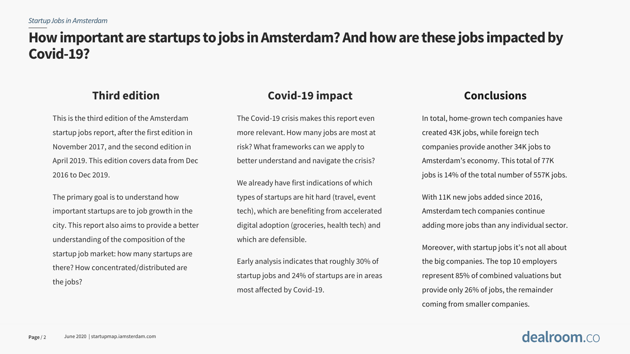## **How important are startups to jobs in Amsterdam? And how are these jobs impacted by Covid-19?**

### **Third edition**

This is the third edition of the Amsterdam startup jobs report, after the first edition in November 2017, and the second edition in April 2019. This edition covers data from Dec 2016 to Dec 2019.

The primary goal is to understand how important startups are to job growth in the city. This report also aims to provide a better understanding of the composition of the startup job market: how many startups are there? How concentrated/distributed are the jobs?

### **Covid-19 impact**

The Covid-19 crisis makes this report even more relevant. How many jobs are most at risk? What frameworks can we apply to better understand and navigate the crisis?

We already have first indications of which types of startups are hit hard (travel, event tech), which are benefiting from accelerated digital adoption (groceries, health tech) and which are defensible.

Early analysis indicates that roughly 30% of startup jobs and 24% of startups are in areas most affected by Covid-19.

### **Conclusions**

In total, home-grown tech companies have created 43K jobs, while foreign tech companies provide another 34K jobs to Amsterdam's economy. This total of 77K jobs is 14% of the total number of 557K jobs.

With 11K new jobs added since 2016, Amsterdam tech companies continue adding more jobs than any individual sector.

Moreover, with startup jobs it's not all about the big companies. The top 10 employers represent 85% of combined valuations but provide only 26% of jobs, the remainder coming from smaller companies.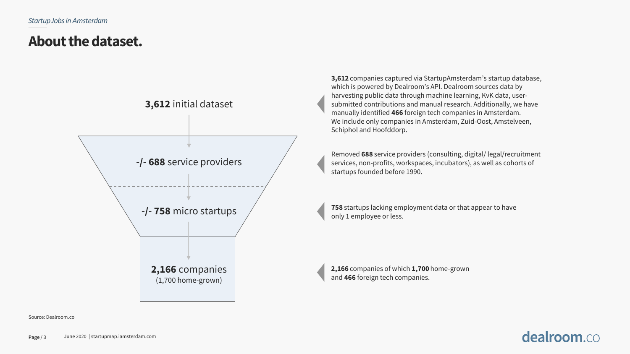## **About the dataset.**



**3,612** companies captured via StartupAmsterdam's startup database, which is powered by Dealroom's API. Dealroom sources data by harvesting public data through machine learning, KvK data, usersubmitted contributions and manual research. Additionally, we have manually identified **466** foreign tech companies in Amsterdam. We include only companies in Amsterdam, Zuid-Oost, Amstelveen, Schiphol and Hoofddorp.

Removed **688** service providers (consulting, digital/ legal/recruitment services, non-profits, workspaces, incubators), as well as cohorts of startups founded before 1990.

**758** startups lacking employment data or that appear to have only 1 employee or less.

**2,166** companies of which **1,700** home-grown and **466** foreign tech companies.

### Source: Dealroom.co

### **Page** / 3 June 2020 | startupmap.iamsterdam.com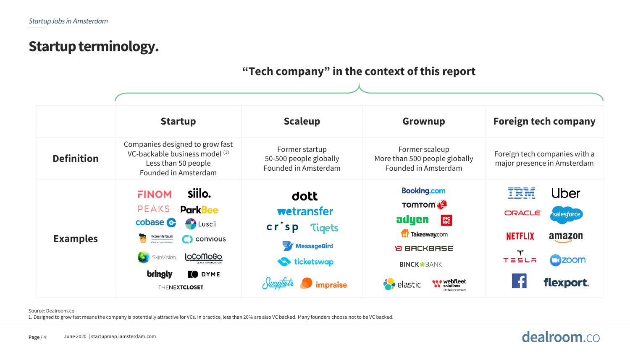### **Startup terminology.**

### **"Tech company" in the context of this report**

|                   | <b>Startup</b>                                                                                                                                                                                                            | <b>Scaleup</b>                                                                                               | Grownup                                                                                                                                                        | <b>Foreign tech company</b>                                                                                                |
|-------------------|---------------------------------------------------------------------------------------------------------------------------------------------------------------------------------------------------------------------------|--------------------------------------------------------------------------------------------------------------|----------------------------------------------------------------------------------------------------------------------------------------------------------------|----------------------------------------------------------------------------------------------------------------------------|
| <b>Definition</b> | Companies designed to grow fast<br>VC-backable business model (1)<br>Less than 50 people<br>Founded in Amsterdam                                                                                                          | Former startup<br>50-500 people globally<br>Founded in Amsterdam                                             | Former scaleup<br>More than 500 people globally<br>Founded in Amsterdam                                                                                        | Foreign tech companies with a<br>major presence in Amsterdam                                                               |
| <b>Examples</b>   | siilo.<br><b>FINOM</b><br>PEAKS<br><b>ParkBee</b><br>cobase <b>C</b><br><b>Luscii</b><br>Ikbenfrits.nl<br>$\bigcirc$ convious<br>$\sqrt{2}$<br><b>LoComoGo</b><br>SkinVision<br>bringly<br>O DYME<br><b>THENEXTCLOSET</b> | dott<br>wetransfer<br>$cr$ sp<br><b>Tigets</b><br><b>WessageBird</b><br><b>ticketswap</b><br><i>impraise</i> | <b>Booking.com</b><br><b>EW mormon</b><br>adyen<br><b>PIC</b><br><b>Takeaway.com</b><br><b>D BACKBASE</b><br><b>BINCK*BANK</b><br><b>Webfleet</b><br>◆ elastic | IBM<br>Uber<br>ORACLE <sup>®</sup><br>salesforce<br><b>NETFLIX</b><br>amazon<br><b>COZOOM</b><br><b>TESLA</b><br>flexport. |

### Source: Dealroom.co

1. Designed to grow fast means the company is potentially attractive for VCs. In practice, less than 20% are also VC backed. Many founders choose not to be VC backed.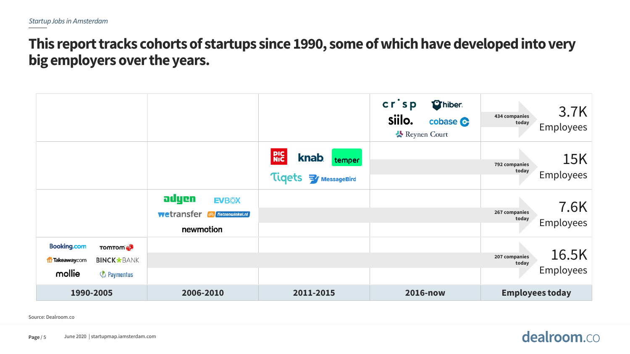## **This report tracks cohorts of startups since 1990, some of which have developed into very big employers over the years.**

|                                                                                                             |                                                                      |                                                                            | $cr$ sp<br><b>Thiber</b><br>siilo.<br>cobase C<br>Reynen Court | 3.7K<br>434 companies<br>today<br><b>Employees</b> |
|-------------------------------------------------------------------------------------------------------------|----------------------------------------------------------------------|----------------------------------------------------------------------------|----------------------------------------------------------------|----------------------------------------------------|
|                                                                                                             |                                                                      | <b>PIC</b><br>NIC<br><b>knab</b><br>temper<br>Tigets<br><b>WessageBird</b> |                                                                | <b>15K</b><br>792 companies<br>today<br>Employees  |
|                                                                                                             | adyen<br><b>EVBOX</b><br>wetransfer<br>Fietsenwinkel.nl<br>newmotion |                                                                            |                                                                | 7.6K<br>267 companies<br>today<br><b>Employees</b> |
| <b>Booking.com</b><br><b>TOMTOM</b><br><b>BINCK*BANK</b><br>17 Takeaway.com<br>mollie<br><b>B</b> Paymentus |                                                                      |                                                                            |                                                                | 16.5K<br>207 companies<br>today<br>Employees       |
| 1990-2005                                                                                                   | 2006-2010                                                            | 2011-2015                                                                  | 2016-now                                                       | <b>Employees today</b>                             |

Source: Dealroom.co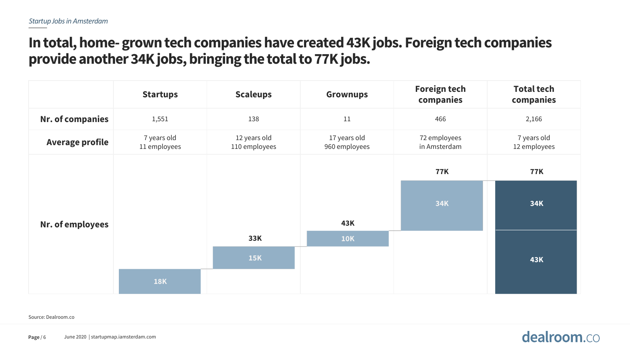## **In total, home-grown tech companies have created 43K jobs. Foreign tech companies provide another 34K jobs, bringing the total to 77K jobs.**

|                        | <b>Startups</b>             | <b>Scaleups</b>               | <b>Grownups</b>               | <b>Foreign tech</b><br>companies | <b>Total tech</b><br>companies |
|------------------------|-----------------------------|-------------------------------|-------------------------------|----------------------------------|--------------------------------|
| Nr. of companies       | 1,551                       | 138                           | $11\,$                        | 466                              | 2,166                          |
| <b>Average profile</b> | 7 years old<br>11 employees | 12 years old<br>110 employees | 17 years old<br>960 employees | 72 employees<br>in Amsterdam     | 7 years old<br>12 employees    |
|                        |                             |                               |                               | <b>77K</b>                       | <b>77K</b>                     |
| Nr. of employees       |                             |                               | <b>43K</b>                    | <b>34K</b>                       | 34K                            |
|                        |                             | 33K                           | <b>10K</b>                    |                                  |                                |
|                        |                             | <b>15K</b>                    |                               |                                  | <b>43K</b>                     |
|                        | <b>18K</b>                  |                               |                               |                                  |                                |

Source: Dealroom.co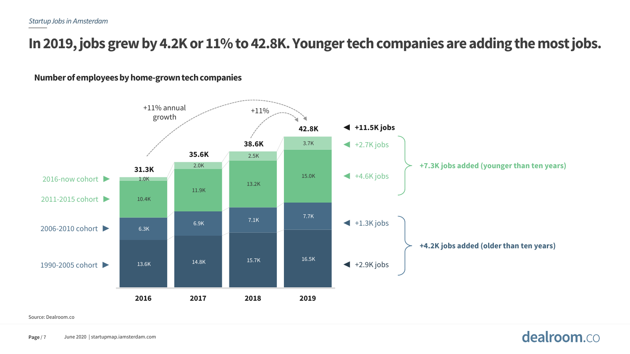## **In 2019, jobs grew by 4.2K or 11% to 42.8K. Younger tech companies are adding the most jobs.**

**Number of employees by home-grown tech companies**



### Source: Dealroom.co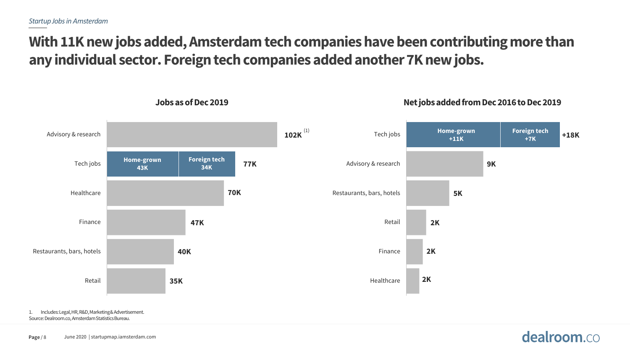## **With 11K new jobs added, Amsterdam tech companies have been contributing more than any individual sector. Foreign tech companies added another 7K new jobs.**



**Jobs as of Dec 2019 Net jobs added from Dec 2016 to Dec 2019**

**Page** / 8 June 2020 | startupmap.iamsterdam.com

1. Includes: Legal, HR, R&D, Marketing & Advertisement. Source: Dealroom.co,Amsterdam Statistics Bureau.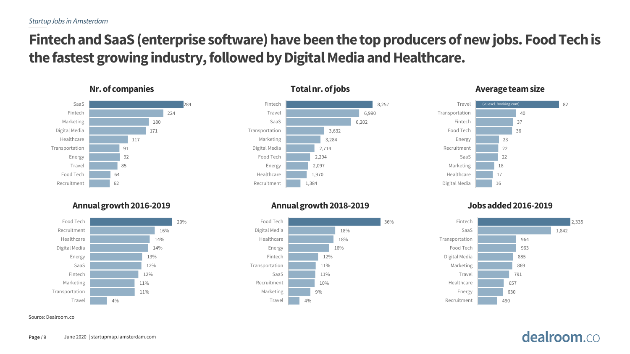## **Fintech and SaaS (enterprise software) have been the top producers of new jobs. Food Tech is the fastest growing industry, followed by Digital Media and Healthcare.**

### 284 224 180 171 117 91 92 85 64 62 SaaS Fintech Marketing Digital Media Healthcare Transportation Energy Travel Food Tech Recruitment

### **Annual growth 2016-2019 Annual growth 2018-2019 Jobs added 2016-2019**



Source: Dealroom.co





### **Nr. of companies Nr. of intervals and the size of the size of intervals and the size of the size of the size of the size of the size of the size of the size of the size of the size of the size of the size of the size of**



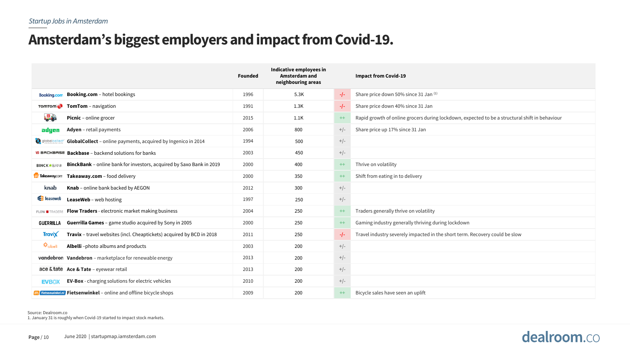## **Amsterdam's biggest employers and impact from Covid-19.**

|                                                                                             | <b>Founded</b> | Indicative employees in<br>Amsterdam and<br>neighbouring areas |        | <b>Impact from Covid-19</b>                                                                    |
|---------------------------------------------------------------------------------------------|----------------|----------------------------------------------------------------|--------|------------------------------------------------------------------------------------------------|
| <b>Booking.com</b> - hotel bookings<br><b>Booking.com</b>                                   | 1996           | 5.3K                                                           | $-I$ - | Share price down 50% since 31 Jan (1)                                                          |
| <b>TOMTOM</b><br><b>TomTom</b> - navigation                                                 | 1991           | 1.3K                                                           | -/-    | Share price down 40% since 31 Jan                                                              |
| 場合<br>Picnic - online grocer                                                                | 2015           | 1.1K                                                           | $++$   | Rapid growth of online grocers during lockdown, expected to be a structural shift in behaviour |
| Adyen - retail payments<br>adyen                                                            | 2006           | 800                                                            | $+/-$  | Share price up 17% since 31 Jan                                                                |
| globalcollect <sup>®</sup><br>GlobalCollect - online payments, acquired by Ingenico in 2014 | 1994           | 500                                                            | $+/-$  |                                                                                                |
| $\overline{P}$ BRCKBRSE <b>Backbase</b> – backend solutions for banks                       | 2003           | 450                                                            | $+/-$  |                                                                                                |
| BinckBank - online bank for investors, acquired by Saxo Bank in 2019<br><b>BINCK*BANK</b>   | 2000           | 400                                                            | $++$   | Thrive on volatility                                                                           |
| Takeaway.com - food delivery<br><b>T</b> Takeaway.com                                       | 2000           | 350                                                            | $++$   | Shift from eating in to delivery                                                               |
| Knab - online bank backed by AEGON<br>knab.                                                 | 2012           | 300                                                            | $+/-$  |                                                                                                |
| Superveb<br>LeaseWeb - web hosting                                                          | 1997           | 250                                                            | $+/-$  |                                                                                                |
| <b>Flow Traders</b> - electronic market making business<br><b>FLOW TRADERS</b>              | 2004           | 250                                                            | $++$   | Traders generally thrive on volatility                                                         |
| <b>Guerrilla Games</b> - game studio acquired by Sony in 2005<br><b>GUERRILLA</b>           | 2000           | 250                                                            | $++$   | Gaming industry generally thriving during lockdown                                             |
| Travix - travel websites (incl. Cheaptickets) acquired by BCD in 2018<br><b>Travix</b>      | 2011           | 250                                                            | $-/-$  | Travel industry severely impacted in the short term. Recovery could be slow                    |
| <i>₩</i> albell<br>Albelli-photo albums and products                                        | 2003           | 200                                                            | $+/-$  |                                                                                                |
| vandebron Vandebron - marketplace for renewable energy                                      | 2013           | 200                                                            | $+/-$  |                                                                                                |
| ace & tate Ace & Tate - eyewear retail                                                      | 2013           | 200                                                            | $+/-$  |                                                                                                |
| <b>EV-Box</b> - charging solutions for electric vehicles<br><b>EVBOX</b>                    | 2010           | 200                                                            | $+/-$  |                                                                                                |
| <b>Fietsenwinkel.nl</b> Fietsenwinkel – online and offline bicycle shops                    | 2009           | 200                                                            | $++$   | Bicycle sales have seen an uplift                                                              |

Source: Dealroom.co

1. January 31 is roughly when Covid-19 started to impact stock markets.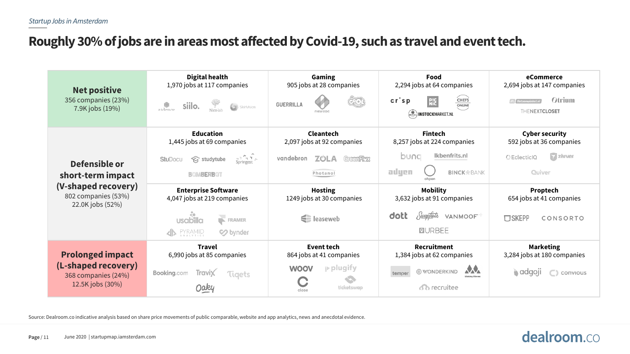### **Roughly 30% of jobs are in areas most affected by Covid-19, such as travel and event tech.**

| <b>Net positive</b><br>356 companies (23%)<br>7.9K jobs (19%)                                        | <b>Digital health</b><br>1,970 jobs at 117 companies<br>$\begin{picture}(120,140) \put(0,0){\line(1,0){150}} \put(0,0){\line(1,0){150}} \put(0,0){\line(1,0){150}} \put(0,0){\line(1,0){150}} \put(0,0){\line(1,0){150}} \put(0,0){\line(1,0){150}} \put(0,0){\line(1,0){150}} \put(0,0){\line(1,0){150}} \put(0,0){\line(1,0){150}} \put(0,0){\line(1,0){150}} \put(0,0){\line(1,0){150}} \put(0,0){\line$<br>₩<br>SkinVision<br>siilo.<br>aidence | Gaming<br>905 jobs at 28 companies<br><b>GUERRILLA</b><br>newzoo                                     | Food<br>2,294 jobs at 64 companies<br>$cr$ sp<br><b>CHEFS</b><br><b>RIC</b><br><b>ONLINE</b><br>(INSTOCKMARKET.NL                     | eCommerce<br>2,694 jobs at 147 companies<br>Otrium<br>$\int$ fietsenwinkel.nl<br>THENEXTCLOSET              |
|------------------------------------------------------------------------------------------------------|-----------------------------------------------------------------------------------------------------------------------------------------------------------------------------------------------------------------------------------------------------------------------------------------------------------------------------------------------------------------------------------------------------------------------------------------------------|------------------------------------------------------------------------------------------------------|---------------------------------------------------------------------------------------------------------------------------------------|-------------------------------------------------------------------------------------------------------------|
| Defensible or<br>short-term impact<br>(V-shaped recovery)<br>802 companies (53%)<br>22.0K jobs (52%) | <b>Education</b><br>1,445 jobs at 69 companies<br>$S_{\text{pringest}} \sim$<br><b>S</b> studytube<br><b>StuDocu</b><br><b>BOMBERBOT</b>                                                                                                                                                                                                                                                                                                            | <b>Cleantech</b><br>2,097 jobs at 92 companies<br>vandebron<br><b>ZÜLA</b><br>Green Flux<br>Photanol | <b>Fintech</b><br>8,257 jobs at 224 companies<br>Ikbenfrits.nl<br>bung<br>adyen<br><b>BINCK</b> *BANK<br>ohpen                        | <b>Cyber security</b><br>592 jobs at 36 companies<br>$\triangledown$ zivver<br><b>OEclecticIQ</b><br>Quiver |
|                                                                                                      | <b>Enterprise Software</b><br>4,047 jobs at 219 companies<br>$R$ FRAMER<br><b>usabilla</b><br>PYRAMID<br>ANALYTICS<br>So bynder                                                                                                                                                                                                                                                                                                                     | <b>Hosting</b><br>1249 jobs at 30 companies<br><b>E</b> leaseweb                                     | <b>Mobility</b><br>3,632 jobs at 91 companies<br>Nuaptiets<br>dott<br>VANMOOF<br><b>OURBEE</b>                                        | Proptech<br>654 jobs at 41 companies<br><b>USKEPP</b><br>CONSORTO                                           |
| <b>Prolonged impact</b><br>(L-shaped recovery)<br>368 companies (24%)<br>12.5K jobs (30%)            | <b>Travel</b><br>6,990 jobs at 85 companies<br>Booking.com<br><b>Travix</b><br>Tigets                                                                                                                                                                                                                                                                                                                                                               | Event tech<br>864 jobs at 41 companies<br>$\mathbf{p}$ plugify<br><b>WOOV</b><br>ticketswap<br>close | <b>Recruitment</b><br>1,384 jobs at 62 companies<br><b>AA</b><br>© WONDERKIND<br>temper<br>Making Moves<br><b><i>Ch</i></b> recruitee | <b>Marketing</b><br>3,284 jobs at 180 companies<br><b>a</b> adgoji<br>$\bigcap$ convious                    |

Source: Dealroom.co indicative analysis based on share price movements of public comparable, website and app analytics, news and anecdotal evidence.

### Page / 11 June 2020 | startupmap.iamsterdam.com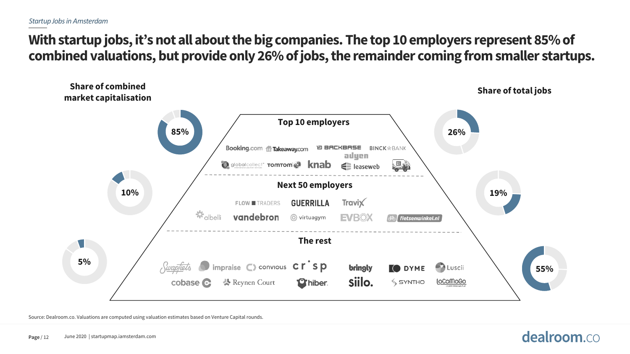### **With startup jobs, it's not all about the big companies. The top 10 employers represent 85% of combined valuations, but provide only 26% of jobs, the remainder coming from smaller startups.**



Source: Dealroom.co. Valuations are computed using valuation estimates based on Venture Capital rounds.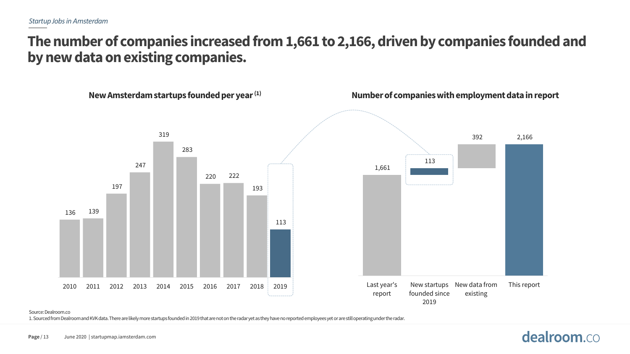## **The number of companies increased from 1,661 to 2,166, driven by companies founded and by new data on existing companies.**



### Source: Dealroom.co

1. Sourced from Dealroom and KVK data. There are likely more startups founded in 2019 that are not on the radar yet as they haveno reported employees yet or are still operating under the radar.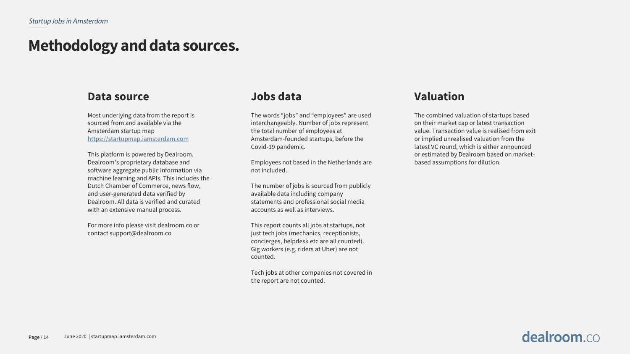## **Methodology and data sources.**

### **Data source**

Most underlying data from the report is sourced from and available via the Amsterdam startup map [https://startupmap.iamsterdam.com](https://startupmap.iamsterdam.com/)

This platform is powered by Dealroom. Dealroom's proprietary database and software aggregate public information via machine learning and APIs. This includes the Dutch Chamber of Commerce, news flow, and user-generated data verified by Dealroom. All data is verified and curated with an extensive manual process.

For more info please visit dealroom.co or contact support@dealroom.co

### **Jobs data**

The words "jobs" and "employees" are used interchangeably. Number of jobs represent the total number of employees at Amsterdam-founded startups, before the Covid-19 pandemic.

Employees not based in the Netherlands are not included.

The number of jobs is sourced from publicly available data including company statements and professional social media accounts as well as interviews.

This report counts all jobs at startups, not just tech jobs (mechanics, receptionists, concierges, helpdesk etc are all counted). Gig workers (e.g. riders at Uber) are not counted.

Tech jobs at other companies not covered in the report are not counted.

### **Valuation**

The combined valuation of startups based on their market cap or latest transaction value. Transaction value is realised from exit or implied unrealised valuation from the latest VC round, which is either announced or estimated by Dealroom based on marketbased assumptions for dilution.